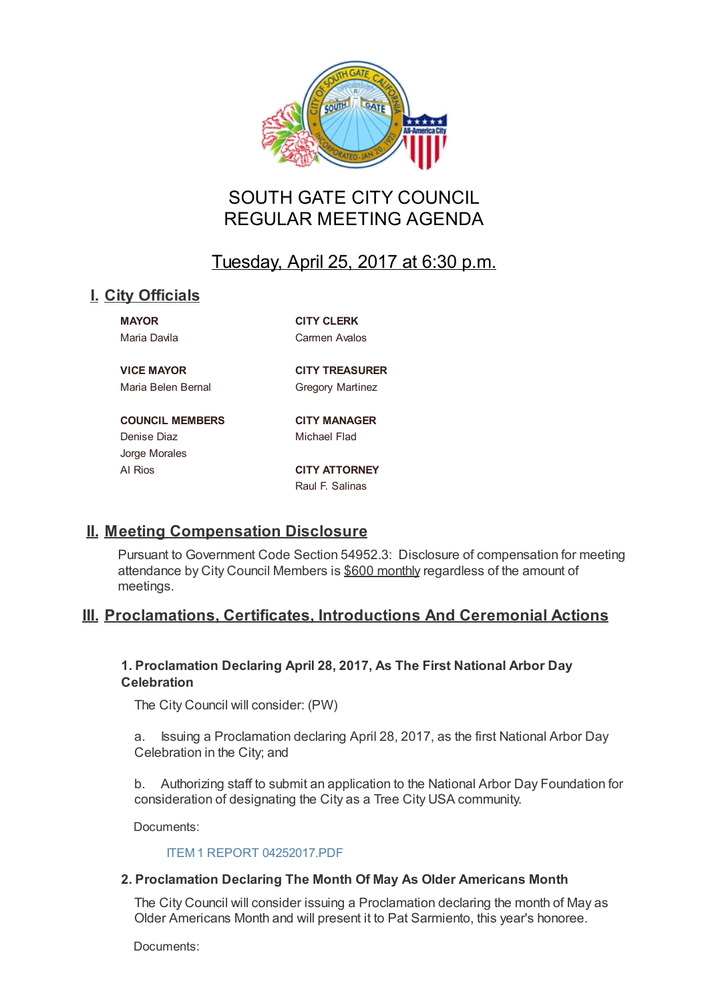

# SOUTH GATE CITY COUNCIL REGULAR MEETING AGENDA

# Tuesday, April 25, 2017 at 6:30 p.m.

# **I. City Officials**

**MAYOR CITY CLERK** Maria Davila Carmen Avalos

**VICE MAYOR CITY TREASURER** Maria Belen Bernal Gregory Martinez

### **COUNCIL MEMBERS CITY MANAGER**

Denise Diaz **Michael Flad** Jorge Morales

Al Rios **CITY ATTORNEY** Raul F. Salinas

# **II. Meeting Compensation Disclosure**

Pursuant to Government Code Section 54952.3: Disclosure of compensation for meeting attendance by City Council Members is \$600 monthly regardless of the amount of meetings.

# **III. Proclamations, Certificates, Introductions And Ceremonial Actions**

# **1. Proclamation Declaring April 28, 2017, As The First National Arbor Day Celebration**

The City Council will consider: (PW)

a. Issuing a Proclamation declaring April 28, 2017, as the first National Arbor Day Celebration in the City; and

b. Authorizing staff to submit an application to the National Arbor Day Foundation for consideration of designating the City as a Tree City USA community.

Documents:

### ITEM 1 REPORT 04252017.PDF

# **2. Proclamation Declaring The Month Of May As Older Americans Month**

The City Council will consider issuing a Proclamation declaring the month of May as Older [Americans](http://cityofsouthgate.org/AgendaCenter/ViewFile/Item/4085?fileID=9666) Month and will present it to Pat Sarmiento, this year's honoree.

Documents: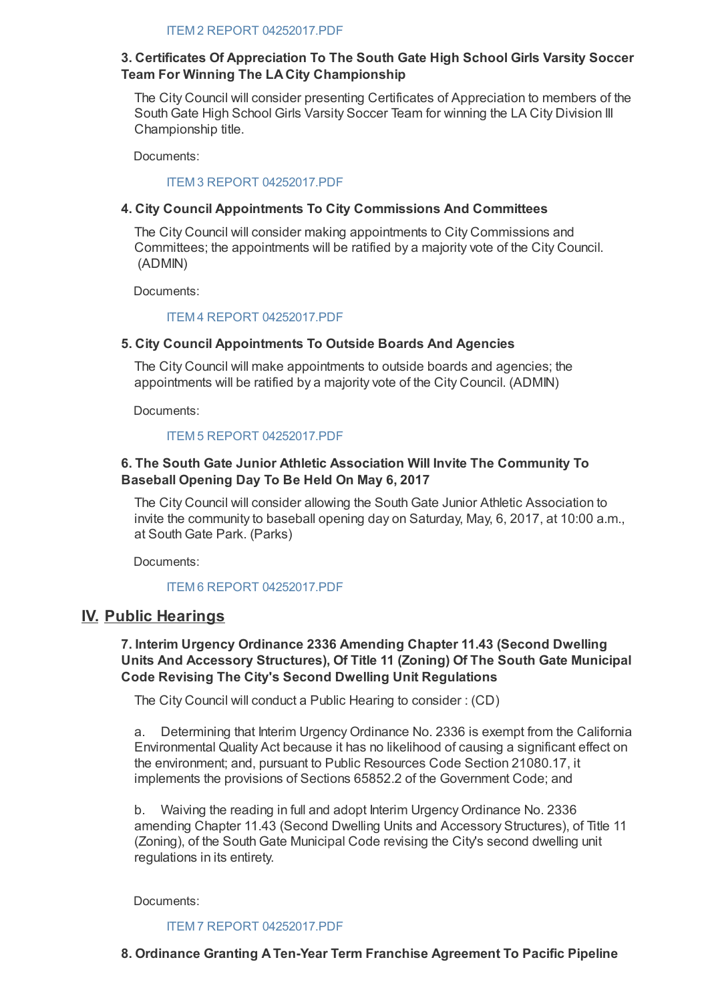# **3. Certificates Of Appreciation To The South Gate High School Girls Varsity Soccer Team For Winning The LA City Championship**

The City Council will consider presenting Certificates of Appreciation to members of the South Gate High School Girls Varsity Soccer Team for winning the LA City Division III Championship title.

Documents:

### ITEM 3 REPORT 04252017.PDF

# **4. City Council Appointments To City Commissions And Committees**

The City Council will consider making appointments to City Commissions and Committees; the appointments will be ratified by a majority vote of the City Council. (ADMIN)

Documents:

## ITEM 4 REPORT 04252017.PDF

# **5. City Council Appointments To Outside Boards And Agencies**

The City Council will make appointments to outside boards and agencies; the appointments will be ratified by a majority vote of the City Council. (ADMIN)

Documents:

## ITEM 5 REPORT 04252017.PDF

# **6. The South Gate Junior Athletic Association Will Invite The Community To Baseball Opening Day To Be Held On May 6, 2017**

The City Council will consider allowing the South Gate Junior Athletic Association to invite the community to baseball opening day on Saturday, May, 6, 2017, at 10:00 a.m., at South Gate Park. (Parks)

Documents:

# ITEM 6 REPORT 04252017.PDF

# **IV. Public Hearings**

# **7. Interim Urgency Ordinance 2336 Amending Chapter 11.43 (Second Dwelling Units And Accessory Structures), Of Title 11 (Zoning) Of The South Gate Municipal Code Revising The City's Second Dwelling Unit Regulations**

The City Council will conduct a Public Hearing to consider : (CD)

a. Determining that Interim Urgency Ordinance No. 2336 is exempt from the California Environmental Quality Act because it has no likelihood of causing a significant effect on the environment; and, pursuant to Public Resources Code Section 21080.17, it implements the provisions of Sections 65852.2 of the Government Code; and

b. Waiving the reading in full and adopt Interim Urgency Ordinance No. 2336 amending Chapter 11.43 (Second Dwelling Units and Accessory Structures), of Title 11 (Zoning), of the South Gate Municipal Code revising the City's second dwelling unit regulations in its entirety.

Documents:

ITEM 7 REPORT 04252017.PDF

### **8. Ordinance Granting A Ten-Year Term Franchise Agreement To Pacific Pipeline**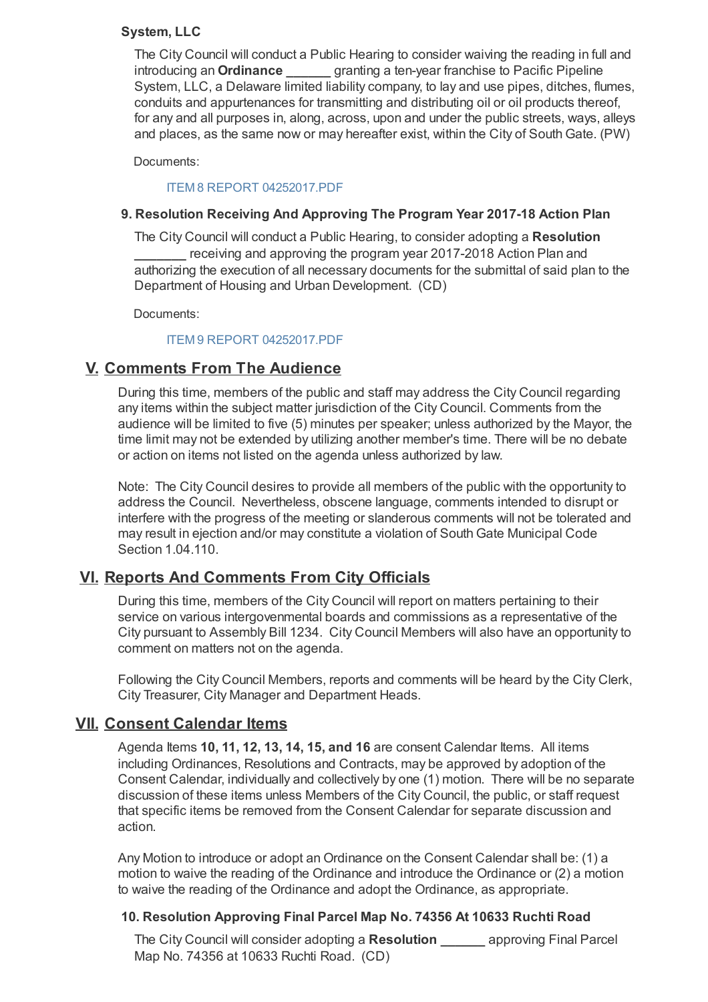# **System, LLC**

The City Council will conduct a Public Hearing to consider waiving the reading in full and introducing an **Ordinance \_\_\_\_\_\_** granting a ten-year franchise to Pacific Pipeline System, LLC, a Delaware limited liability company, to lay and use pipes, ditches, flumes, conduits and appurtenances for transmitting and distributing oil or oil products thereof, for any and all purposes in, along, across, upon and under the public streets, ways, alleys and places, as the same now or may hereafter exist, within the City of South Gate. (PW)

Documents:

### ITEM 8 REPORT 04252017.PDF

### **9. Resolution Receiving And Approving The Program Year 2017-18 Action Plan**

The City Council will conduct a Public Hearing, to consider adopting a **Resolution** receiving and approving the program year 2017-2018 Action Plan and authorizing the execution of all necessary documents for the submittal of said plan to the Department of Housing and Urban Development. (CD)

Documents:

### ITEM 9 REPORT 04252017.PDF

# **V. Comments From The Audience**

During this time, members of the public and staff may address the City Council regarding any items within the subject matter jurisdiction of the City Council. Comments from the audience will be limited to five (5) minutes per speaker; unless authorized by the Mayor, the time limit may not be extended by utilizing another member's time. There will be no debate or action on items not listed on the agenda unless authorized by law.

Note: The City Council desires to provide all members of the public with the opportunity to address the Council. Nevertheless, obscene language, comments intended to disrupt or interfere with the progress of the meeting or slanderous comments will not be tolerated and may result in ejection and/or may constitute a violation of South Gate Municipal Code Section 1.04.110.

# **VI. Reports And Comments From City Officials**

During this time, members of the City Council will report on matters pertaining to their service on various intergovenmental boards and commissions as a representative of the City pursuant to Assembly Bill 1234. City Council Members will also have an opportunity to comment on matters not on the agenda.

Following the City Council Members, reports and comments will be heard by the City Clerk, City Treasurer, City Manager and Department Heads.

# **VII. Consent Calendar Items**

Agenda Items **10, 11, 12, 13, 14, 15, and 16** are consent Calendar Items. All items including Ordinances, Resolutions and Contracts, may be approved by adoption of the Consent Calendar, individually and collectively by one (1) motion. There will be no separate discussion of these items unless Members of the City Council, the public, or staff request that specific items be removed from the Consent Calendar for separate discussion and action.

Any Motion to introduce or adopt an Ordinance on the Consent Calendar shall be: (1) a motion to waive the reading of the Ordinance and introduce the Ordinance or (2) a motion to waive the reading of the Ordinance and adopt the Ordinance, as appropriate.

### **10. Resolution Approving Final Parcel Map No. 74356 At 10633 Ruchti Road**

The City Council will consider adopting a **Resolution \_\_\_\_\_\_** approving Final Parcel Map No. 74356 at 10633 Ruchti Road. (CD)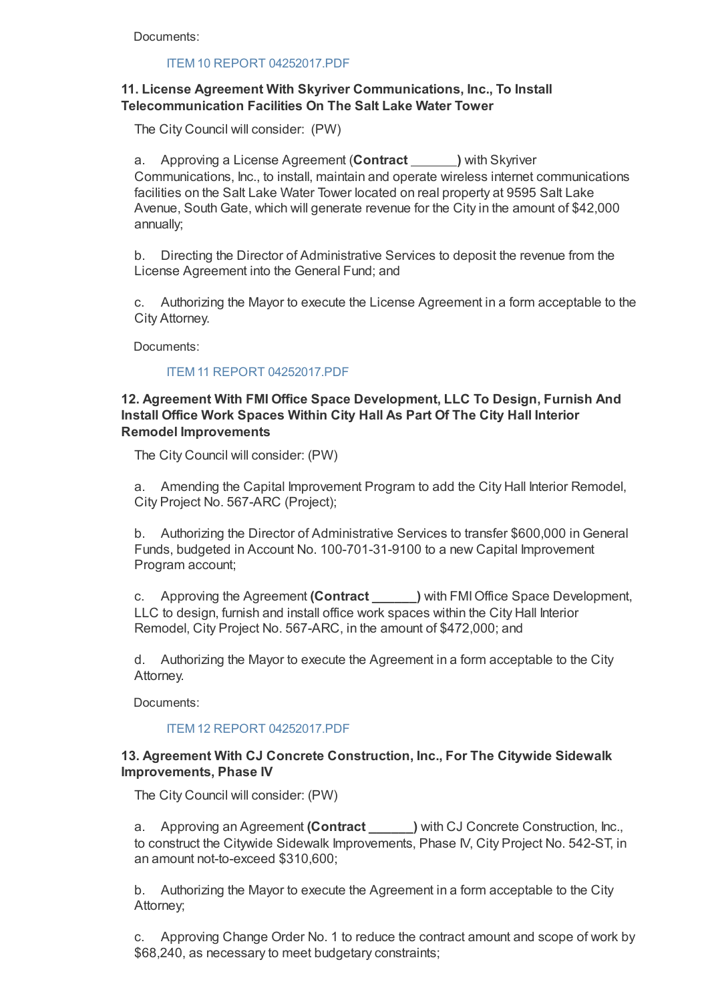Documents:

### ITEM 10 REPORT 04252017.PDF

# **11. License Agreement With Skyriver Communications, Inc., To Install Telecommunication Facilities On The Salt Lake Water Tower**

The City Council will consider: (PW)

a. Approving a License Agreement (**Contract )** with Skyriver Communications, Inc., to install, maintain and operate wireless internet communications facilities on the Salt Lake Water Tower located on real property at 9595 Salt Lake Avenue, South Gate, which will generate revenue for the City in the amount of \$42,000 annually;

b. Directing the Director of Administrative Services to deposit the revenue from the License Agreement into the General Fund; and

c. Authorizing the Mayor to execute the License Agreement in a form acceptable to the City Attorney.

Documents:

### ITEM 11 REPORT 04252017.PDF

## **12. Agreement With FMI Office Space Development, LLC To Design, Furnish And Install Office Work Spaces Within City Hall As Part Of The City Hall Interior Remodel Improvements**

The City Council will consider: (PW)

a. Amending the Capital Improvement Program to add the City Hall Interior Remodel, City Project No. 567-ARC (Project);

b. Authorizing the Director of Administrative Services to transfer \$600,000 in General Funds, budgeted in Account No. 100-701-31-9100 to a new Capital Improvement Program account;

c. Approving the Agreement **(Contract \_\_\_\_\_\_)** with FMI Office Space Development, LLC to design, furnish and install office work spaces within the City Hall Interior Remodel, City Project No. 567-ARC, in the amount of \$472,000; and

d. Authorizing the Mayor to execute the Agreement in a form acceptable to the City Attorney.

Documents:

### ITEM 12 REPORT 04252017.PDF

## **13. Agreement With CJ Concrete Construction, Inc., For The Citywide Sidewalk Improvements, Phase IV**

The City Council will consider: (PW)

a. Approving an Agreement **(Contract \_\_\_\_\_\_)** with CJ Concrete Construction, Inc., to construct the Citywide Sidewalk Improvements, Phase IV, City Project No. 542-ST, in an amount not-to-exceed \$310,600;

b. Authorizing the Mayor to execute the Agreement in a form acceptable to the City Attorney;

c. Approving Change Order No. 1 to reduce the contract amount and scope of work by \$68,240, as necessary to meet budgetary constraints;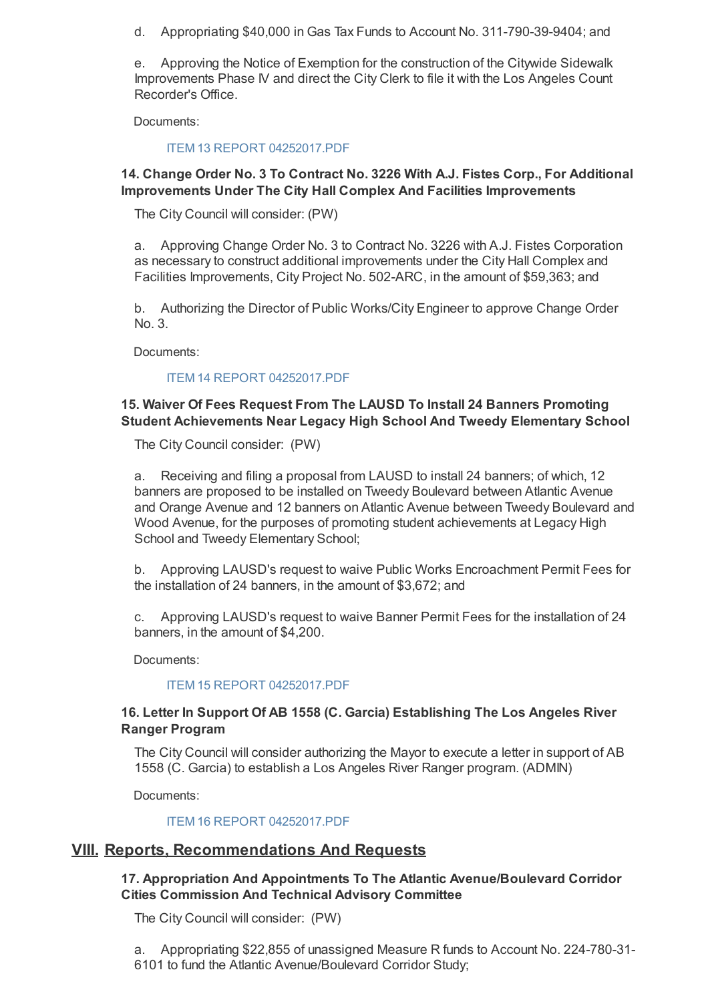d. Appropriating \$40,000 in Gas Tax Funds to Account No. 311-790-39-9404; and

e. Approving the Notice of Exemption for the construction of the Citywide Sidewalk Improvements Phase IV and direct the City Clerk to file it with the Los Angeles Count Recorder's Office.

Documents:

### ITEM 13 REPORT 04252017.PDF

## **14. Change Order No. 3 To Contract No. 3226 With A.J. Fistes Corp., For Additional Improvements Under The City Hall Complex And Facilities Improvements**

The City Council will consider: (PW)

a. Approving Change Order No. 3 to Contract No. 3226 with A.J. Fistes Corporation as necessary to construct additional improvements under the City Hall Complex and Facilities Improvements, City Project No. 502-ARC, in the amount of \$59,363; and

b. Authorizing the Director of Public Works/City Engineer to approve Change Order No. 3.

Documents:

### ITEM 14 REPORT 04252017.PDF

# **15. Waiver Of Fees Request From The LAUSD To Install 24 Banners Promoting Student Achievements Near Legacy High School And Tweedy Elementary School**

The City Council consider: (PW)

a. Receiving and filing a proposal from LAUSD to install 24 banners; of which, 12 banners are proposed to be installed on Tweedy Boulevard between Atlantic Avenue and Orange Avenue and 12 banners on Atlantic Avenue between Tweedy Boulevard and Wood Avenue, for the purposes of promoting student achievements at Legacy High School and Tweedy Elementary School;

b. Approving LAUSD's request to waive Public Works Encroachment Permit Fees for the installation of 24 banners, in the amount of \$3,672; and

c. Approving LAUSD's request to waive Banner Permit Fees for the installation of 24 banners, in the amount of \$4,200.

Documents:

#### ITEM 15 REPORT 04252017.PDF

## **16. Letter In Support Of AB 1558 (C. Garcia) Establishing The Los Angeles River Ranger Program**

The City Council will consider authorizing the Mayor to execute a letter in support of AB 1558 (C. Garcia) to establish a Los Angeles River Ranger program. (ADMIN)

Documents:

### ITEM 16 REPORT 04252017.PDF

# **VIII. Reports, Recommendations And Requests**

**17. Appropriation And Appointments To The Atlantic Avenue/Boulevard Corridor Cities Commission And Technical Advisory Committee**

The City Council will consider: (PW)

a. Appropriating \$22,855 of unassigned Measure R funds to Account No. 224-780-31- 6101 to fund the Atlantic Avenue/Boulevard Corridor Study;